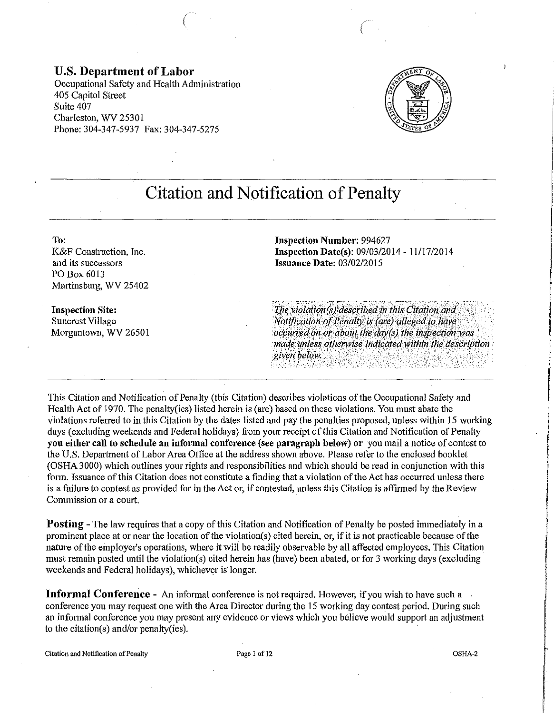### **U.S. Department of Labor**

Occupational Safety and Health Administration 405 Capitol Street Suite 407 Charleston, WV 25301 Phone: 304-347-5937 Fax: 304-347-5275

 $\left($ 



# **Citation and Notification of Penalty**

**To:** 

K&F Construction, Inc. and its successors PO Box 6013 Martinsburg, WV 25402

**Inspection Site:**  Suncrest Village Morgantown, WV 26501 **Inspection Number:** 994627 **Inspection Date(s):** 09/03/2014- 11/17/2014 **Issuance Date:** 03/02/2015

 $\left($ 

 $The violation(s) described in this citation and$ *Notification of Penalty is (are) alleged to have occurred on or about the day(s) the inspection was made unless otherwise indicated within the description* given below.

This Citation and Notification of Penalty (this Citation) describes violations of the Occupational Safety and Health Act of 1970. The penalty(ies) listed herein is (are) based on these violations. You must abate the violations referred to in this Citation by the dates listed and pay the penalties proposed, unless within 15 working days (excluding weekends and Federal holidays) from your receipt of this Citation and Notification of Penalty **you either call to schedule an informal conference** (see **paragraph below) or** you mail a notice of contest to the U.S. Department of Labor Area Office at the address shown above. Please refer to the enclosed booklet (OSHA 3000) which outlines your rights and responsibilities and which should be read in conjunction with this form. Issuance of this Citation does not constitute a finding that a violation of the Act has occurred unless there is a failure to contest as provided for in the Act or, if contested, unless this Citation is affirmed by the Review Commission or a court.

**Posting** - The law requires that a copy of this Citation and Notification of Penalty be posted immediately in a prominent place at or near the location of the violation(s) cited herein, or, if it is not practicable because of the nature of the employer's operations, where it will be readily observable by all affected employees. This Citation must remain posted until the violation(s) cited herein has (have) been abated, or for 3 working days (excluding weekends and Federal holidays), whichever is longer.

**Informal Conference-** An informal conference is not required. However, if you wish to have such a conference you may request one with the Area Director during the 15 working day contest period. During such an informal conference you may present any evidence or views which you believe would support an adjustment to the citation(s) and/or penalty(ies).

Citation and Notification of Penalty **Page 1** of 12 **COSHA-2 OSHA-2 OSHA-2** 

I

distribution of the component component and component of the component of the component of the component of the component of the component of the component of the component of the component of the component of the componen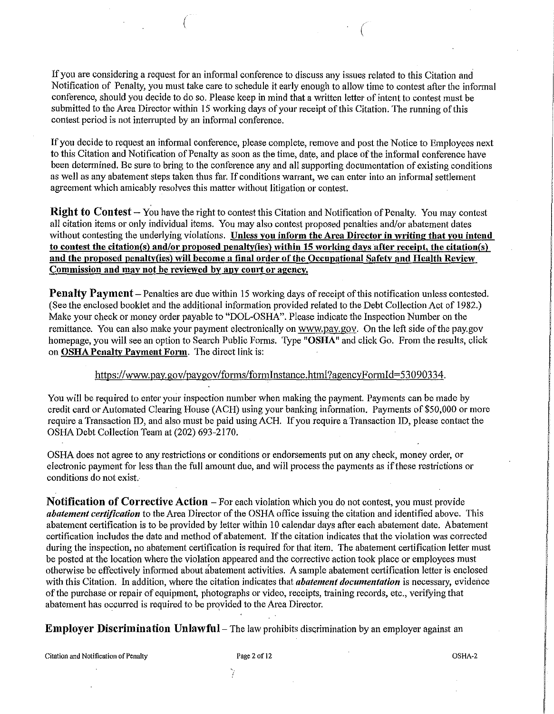If you are considering a request for an informal conference to discuss any issues related to this Citation and Notification of Penalty, you must take care to schedule it early enough to allow time to contest after the informal conference, should you decide to do so. Please keep in mind that a written letter of intent to contest must be submitted to the Area Director within 15 working days of your receipt of this Citation. The running of this contest period is not interrupted by an informal conference.

(

If you decide to request an informal conference, please complete, remove and post the Notice to Employees next to this Citation and Notification of Penalty as soon as the time, date, and place of the informal conference have been determined. Be sure to bring to the conference any and all supporting documentation of existing conditions as well as any abatement steps taken thus far. If conditions warrant, we can enter into an infotmal settlement agreement which amicably resolves this matter without litigation or contest.

**Right to Contest** – You have the right to contest this Citation and Notification of Penalty. You may contest all citation items or only individual items. You may also contest proposed penalties and/or abatement dates without contesting the underlying violations. **Unless you inform the Area Director in writing that you intend to contest the citation(s) and/or proposed penaltv(ies) within 15 working days after receipt, the citation(s) and the proposed penalty(ies) will become a final order of the Occupational Safety and Health Review Commission and may not be reviewed by any court or agency.** 

**Penalty Payment** – Penalties are due within 15 working days of receipt of this notification unless contested. (See the enclosed booklet and the additional information provided related to the Debt Collection Act of 1982.) Make your check or money order payable to "DOL-OSHA". Please indicate the Inspection Number on the remittance. You can also make your payment electronically on www.pay.gov. On the left side of the pay.gov homepage, you will see an option to Search Public Forms. Type **"OSHA"** and click Go. From the results, click on **OSHA Penalty Payment Form.** The direct link is:

#### https://www.pay.gov/paygov/forms/foiminstance.html?agencyForrnid=53090334.

You will be required to enter your inspection number when making the payment. Payments can be made by credit card or Automated Clearing House (ACH) using your banking information. Payments of \$50,000 or more require a Transaction ID, and also must be paid using ACH. If you require a Transaction ID, please contact the OSHA Debt Collection Team at (202) 693-2170.

OSHA does not agree to any restrictions or conditions or endorsements put on any check, money order, or electronic payment for less than the full amount due, and will process the payments as if these restrictions or conditions do not exist.

**Notification of Corrective Action-** For each violation which you do not contest, you must provide *abatement certification* to the Area Director of the OSHA office issuing the citation and identified above. This abatement certification is to be provided by letter within 10 calendar days after each abatement date. Abatement certification includes the date and method of abatement. If the citation indicates that the violation was corrected during the inspection, no abatement certification is required for that item. The abatement certification letter must be posted at the location where the violation appeared and the corrective action took place or employees must otherwise be effectively informed about abatement activities. A sample abatement certification letter is enclosed with this Citation. In addition, where the citation indicates that *abatement documentation* is necessary, evidence of the purchase or repair of equipment, photographs or video, receipts, training records, etc., verifying that abatement has occurred is required to be provided to the Area Director.

**Employer Discrimination Unlawful** – The law prohibits discrimination by an employer against an

Citation and Notification of Penalty **Page 2 of 12** Page 2 of 12 **OSHA-2** OSHA-2

';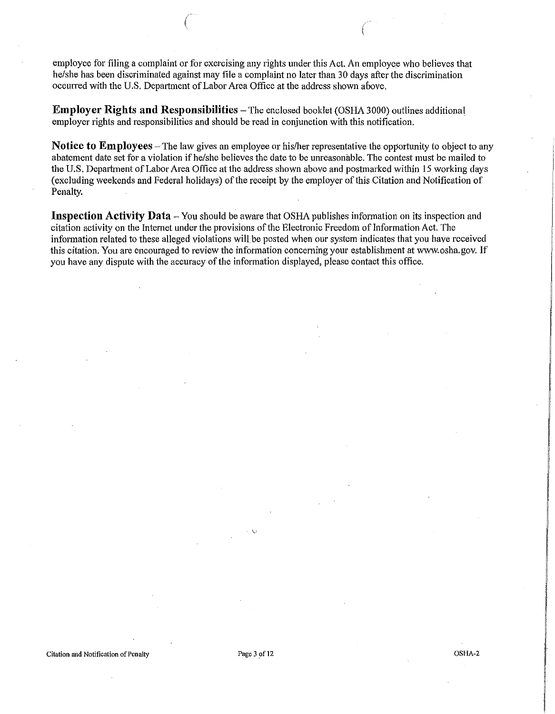employee for filing a complaint or for exercising any rights under this Act. An employee who believes that he/she has been discriminated against may file a complaint no later than 30 days after the discrimination occurred with the U.S. Department of Labor Area Office at the address shown above.

 $($ 

**Employer Rights and Responsibilities** – The enclosed booklet (OSHA 3000) outlines additional employer rights and responsibilities and should be read in conjunction with this notification.

**Notice to Employees** – The law gives an employee or his/her representative the opportunity to object to any abatement date set for a violation if he/she believes the date to be unreasonable. The contest must be mailed to the U.S. Department of Labor Area Office at the address shown above and postmarked within 15 working days (excluding weekends and Federal holidays) of the receipt by the employer of this Citation and Notification of Penalty.

**Inspection Activity Data** - You should be aware that OSHA publishes information on its inspection and citation activity on the Internet under the provisions of the Electronic Freedom of Information Act. The information related to these alleged violations will be posted when our system indicates that you have received this citation. You are encouraged to review the information concerning your establishment at www.osha.gov. If you have any dispute with the accuracy of the information displayed, please contact this office.

Citation and Notification of Penalty **Page 3** of 12 OSHA-2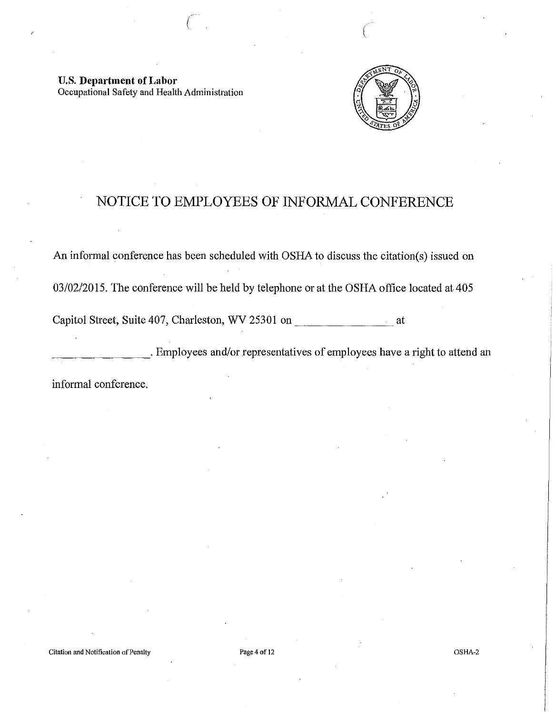U.S. **Department of Labor**  Occupational Safety and Health Administration



## NOTICE TO EMPLOYEES OF INFORMAL CONFERENCE

 $($ 

An informal conference has been scheduled with OSHA to discuss the citation(s) issued on 03/02/2015. The conference will be held by telephone or at the OSHA office located at 405 Capitol Street, Suite 407, Charleston, WV 25301 on at

\_\_\_\_\_\_\_\_ . Employees and/or representatives of employees have a right to attend an

informal conference.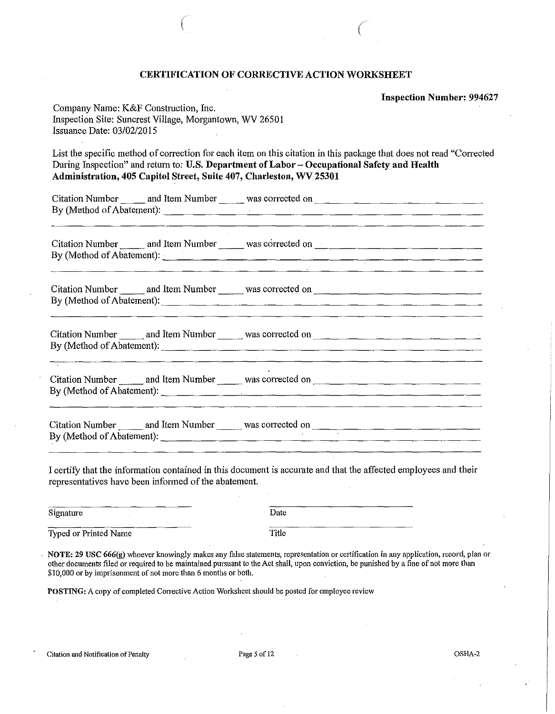#### CERTIFICATION OF CORRECTIVE ACTION WORKSHEET

 $($ 

Inspection Number: 994627

| Company Name: K&F Construction, Inc.                    |
|---------------------------------------------------------|
| Inspection Site: Suncrest Village, Morgantown, WV 26501 |
| Issuance Date: 03/02/2015                               |

List the specific method of correction for each item on this citation in this package that does not read "Corrected During Inspection" and return to: U.S. Department of Labor- Occupational Safety and Health Administration, 405 Capitol Street, Suite 407, Charleston, WV25301

|  | By (Method of Abatement):                                                                                                                          |  |
|--|----------------------------------------------------------------------------------------------------------------------------------------------------|--|
|  | By (Method of Abatement):<br><u> 2000 - Jan Barristo, martin amerikan basar dan berasal dalam basar dalam basar dalam basar dalam basar dalam </u> |  |
|  | By (Method of Abatement):<br><u> 1989 - Andrea Andrew Amerikaanse Amerikaanse kommunister (</u>                                                    |  |
|  |                                                                                                                                                    |  |
|  |                                                                                                                                                    |  |

I certify that the information contained in this document is accurate and that the affected employees and their representatives have been informed of the abatement.

| Signature |  | Date |
|-----------|--|------|
|           |  |      |

Typed or Printed Name Title

NOTE: 29 USC 666(g) whoever knowingly makes any false statements, representation or certification in any application, record, plan or other documents filed or required to be maintained pursuant to the Act shall, upon conviction, be punished by a fine of not more than \$10,000 or by imprisonment of not more than 6 months or both.

POSTING: A copy of completed Corrective Action Worksheet should be posted for employee review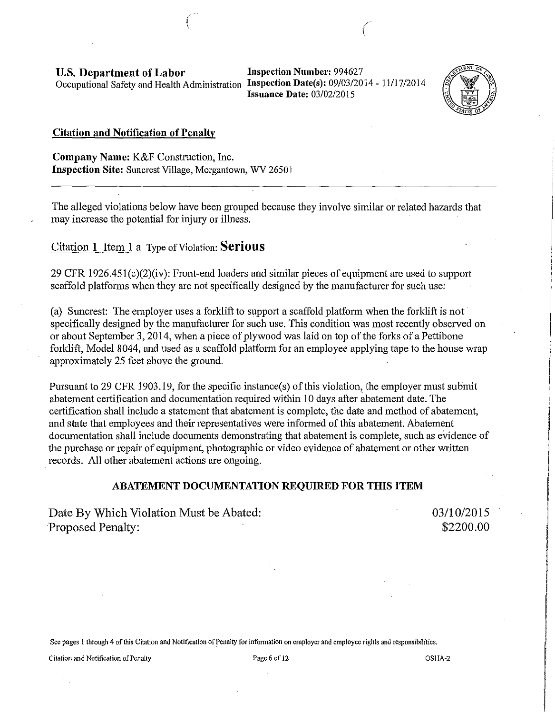U.S. Department of Labor Occupational Safety and Health Administration Inspection Date(s): 09/03/2014 - 11/17/2014

Inspection Number: 994627 Issuance Date: 03/02/2015

 $\left($ 



#### Citation and Notification of Penalty

Company Name: K&F Construction, Inc. Inspection Site: Suncrest Village, Morgantown, WV 26501

 $\mathcal{L}$ 

The alleged violations below have been grouped because they involve similar or related hazards that may increase the potential for injury or illness.

Citation 1 Item 1 a Type of Violation: **Serious** 

29 CFR 1926.451 (c)(2)(iv): Front-end loaders and similar pieces of equipment are used to support scaffold platforms when they are not specifically designed by the manufacturer for such use:

(a) Suncrest: The employer uses a forklift to support a scaffold platform when the forklift is not· specifically designed by the manufacturer for such use. This condition was most recently observed on or about September 3, 20 14, when a piece of plywood was laid on top of the forks of a Pettibone forklift, Model 8044, and used as a scaffold platform for an employee applying tape to the house wrap approximately 25 feet above the ground.

Pursuant to 29 CFR 1903.19, for the specific instance(s) of this violation, the employer must submit abatement certification and documentation required within 10 days after abatement date. The certification shall include a statement that abatement is complete, the date and method of abatement, and state that employees and their representatives were informed of this abatement. Abatement documentation shall include documents demonstrating that abatement is complete, such as evidence of the purchase or repair of equipment, photographic or video evidence of abatement or other written records. All other abatement actions are ongoing.

#### ABATEMENT DOCUMENTATION REQUIRED FOR THIS ITEM

Date By Which Violation Must be Abated: Proposed Penalty:

03/10/2015 \$2200.00

See pages l through 4 of this Citation and Notification of Penalty for infonnation on employer and employee rights and responsibilities.

Citation and Notification of Penalty **Page 6** of 12 **Page 6** of 12 **OSHA**-2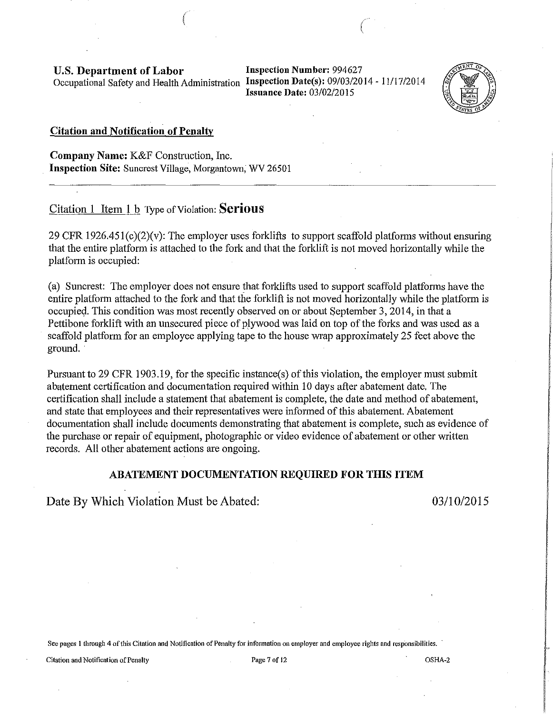**U.S. Department of Labor** Inspection Number: 994627 Occupational Safety and Health Administration **Inspection Date(s):** 09/03/2014- 11/17/2014

**Issuance Date:** 03/02/2015



#### **Citation and Notification of Penalty**

**Company Name:** K&F Construction, Inc. **Inspection Site:** Suncrest Village, Morgantown, WV 26501

Citation 1 Item **1** b Type of Violation: **Serious** 

29 CFR 1926.45l(c)(2)(v): The employer uses forklifts to support scaffold platforms without ensuring that the entire platform is attached to the fork and that the forklift is not moved horizontally while the platform is occupied:

 $($ 

(a) Suncrest: The employer does not ensure that forklifts used to support scaffold platforms have the entire platform attached to the fork and that the forklift is not moved horizontally while the platform is occupied. This condition was most recently observed on or about September 3, 2014, in that a Pettibone forklift with an unsecured piece of plywood was laid on top of the forks and was used as a scaffold platform for an employee applying tape to the house wrap approximately 25 feet above the ground.

Pursuant to 29 CFR 1903.19, for the specific instance(s) of this violation, the employer must submit abatement certification and documentation required within 10 days after abatement date. The certification shall include a statement that abatement is complete, the date and method of abatement, and state that employees and their representatives were informed of this abatement. Abatement documentation shall include documents demonstrating that abatement is complete, such as evidence of the purchase or repair of equipment, photographic or video evidence of abatement or other written records. All other abatement actions are ongoing.

#### **ABATEMENT DOCUMENTATION REQUIRED FOR THIS ITEM**

Date By Which Violation Must be Abated: 03/10/2015

See pages 1 through 4 of this Citation and Notification of Penalty for information on employer and employee rights and responsibilities.

Citation and Notification of Penalty **Page 7** of 12 **Page 7** of 12 **OSHA-2 OSHA-2**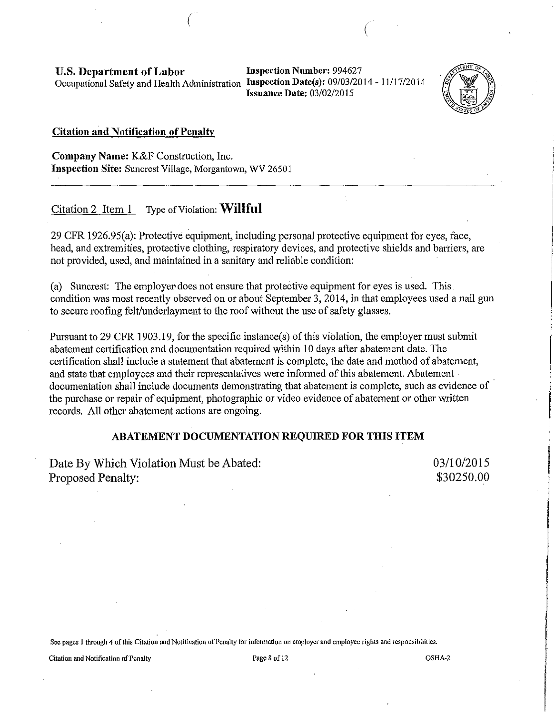**U.S. Department of Labor** Inspection Number: 994627 Occupational Safety and Health Administration **Inspection Date(s):** 09/03/2014 - 11117/2014

**Issuance Date:** 03/02/2015



#### **Citation and Notification of Penalty**

**Company Name:** K&F Construction, Inc. **Inspection Site:** Suncrest Village, Morgantown, WV 26501

Citation 2 Item 1 Type of Violation: **Willful** 

29 CFR 1926.95(a): Protective equipment, including personal protective equipment for eyes, face, head, and extremities, protective clothing, respiratory devices, and protective shields and barriers, are not provided, used, and maintained in a sanitary and reliable condition:

 $($ 

(a) Suncrest: The employer does not ensure that protective equipment for eyes is used. This. condition was most recently observed on or about September 3, 2014, in that employees used a nail gun to secure roofing felt/underlayment to the roof without the use of safety glasses.

Pursuant to 29 CFR 1903.19, for the specific instance(s) of this violation, the employer must submit abatement certification and documentation required within I 0 days after abatement date. The certification shall include a statement that abatement is complete, the date and method of abatement, and state that employees and their representatives were informed of this abatement. Abatement documentation shall include documents demonstrating that abatement is complete, such as evidence of the purchase or repair of equipment, photographic or video evidence of abatement or other written records. All other abatement actions are ongoing.

#### **ABATEMENT DOCUMENTATION REQUIRED FOR THIS ITEM**

Date By Which Violation Must be Abated: Proposed Penalty:

03/10/2015 \$30250.00

See pages 1 through 4 of this Citation and Notification of Penalty for information on employer and employee rights and responsibilities.

**Citation and Notification of Penalty Page 8 of 12** OSHA-2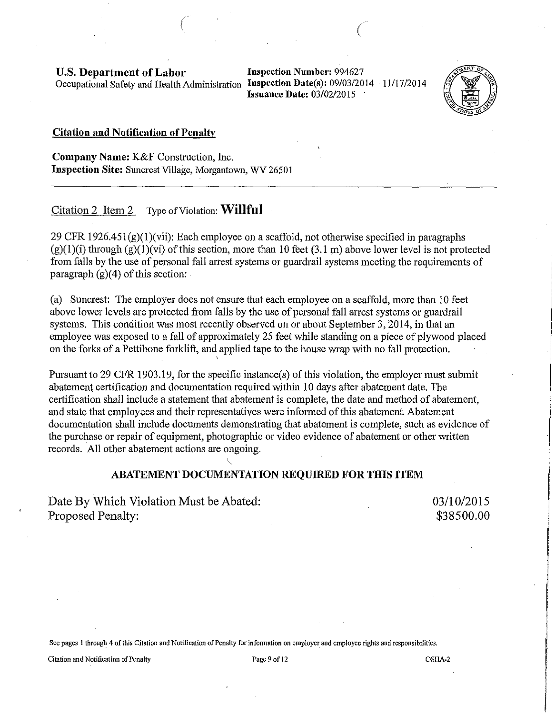U.S. Department of Labor Occupational Safety and Health Administration Inspection Date(s): 09/03/2014 - 11/17/2014

Inspection Number: 994627 Issuance Date: 03/02/2015

(



#### Citation and Notification of Penalty

Company Name: K&F Construction, Inc. Inspection Site: Suncrest Village, Morgantown, WV 26501

*(* 

Citation 2 Item 2 Type of Violation: **Willful** 

29 CFR  $1926.451(g)(1)(vii)$ : Each employee on a scaffold, not otherwise specified in paragraphs  $(g)(1)(i)$  through  $(g)(1)(vi)$  of this section, more than 10 feet  $(3.1 \text{ m})$  above lower level is not protected from falls by the use of personal fall arrest systems or guardrail systems meeting the requirements of paragraph  $(g)(4)$  of this section:

(a) Suncrest: The employer does not ensure that each employee on a scaffold, more than 10 feet above lower levels are protected from falls by the use of personal fall arrest systems or guardrail systems. This condition was most recently observed on or about September 3, 2014, in that an employee was exposed to a fall of approximately 25 feet while standing on a piece of plywood placed on the forks of a Pettibone forklift, and applied tape to the house wrap with no fall protection.

'

Pursuant to 29 CFR 1903.19, for the specific instance(s) of this violation, the employer must submit abatement certification and documentation required within 10 days after abatement date. The certification shall include a statement that abatement is complete, the date and method of abatement, and state that employees and their representatives were informed of this abatement. Abatement documentation shall include documents demonstrating that abatement is complete, such as evidence of the purchase or repair of equipment, photographic or video evidence of abatement or other written records. All other abatement actions are ongoing.

#### ABATEMENT DOCUMENTATION REQUIRED FOR THIS ITEM

Date By Which Violation Must be Abated: Proposed Penalty:

03/10/2015 \$38500.00

See pages 1 through 4 of this Citation and Notification of Penalty for information on employer and employee rights and responsibilities.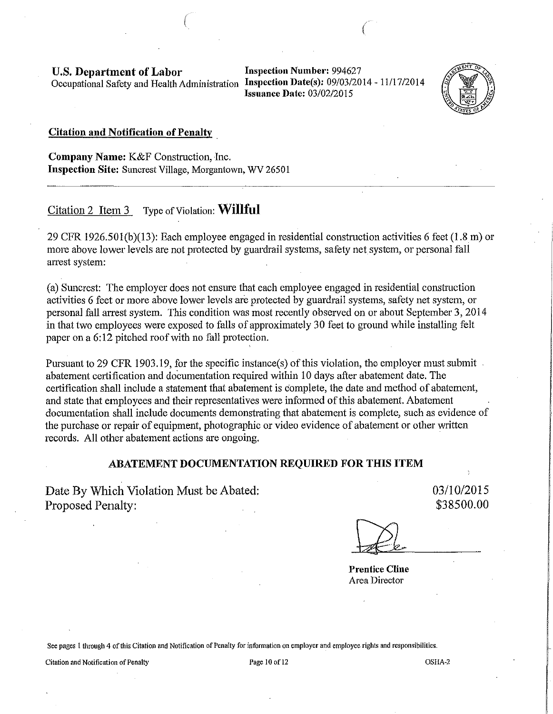U.S. Department of Labor Occupational Safety and Health Administration Inspection Date(s): 09/03/2014- 11/17/2014

Inspection Number: 994627 Issuance Date: 03/02/2015

**Contract** 



#### Citation and Notification of Penalty .

Company Name: K&F Construction, Inc. Inspection Site: Suncrest Village, Morgantown, WV 26501

 $\left($ 

Citation 2 Item 3 Type of Violation: **Willful** 

29 CFR 1926.50l(b)(13): Each employee engaged in residential construction activities 6 feet (1.8 m) or more above lower levels are not protected by guardrail systems, safety net system, or personal fall arrest system:

(a) Suncrest: The employer does not ensure that each employee engaged in residential construction activities 6 feet or more above lower levels are protected by guardrail systems, safety net system, or personal fall arrest system. This condition was most recently observed on or about September 3, 2014 in that two employees were exposed to falls of approximately 30 feet to ground while installing felt paper on a 6:12 pitched roof with no fall protection.

Pursuant to 29 CFR 1903.19, for the specific instance(s) of this violation, the employer must submit. abatement certification and documentation required within 10 days after abatement date. The certification shall include a statement that abatement is complete, the date and method of abatement, and state that employees and their representatives were informed of this abatement. Abatement documentation shall include documents demonstrating that abatement is complete, such as evidence of the purchase or repair of equipment, photographic or video evidence of abatement or other written records. All other abatement actions are ongoing.

#### ABATEMENT DOCUMENTATION REQUIRED FOR THIS ITEM

Date By Which Violation Must be Abated: Proposed Penalty:

03/10/2015 \$38500.00

Prentice Cline Area Director

See pages 1 through 4 of this Citation and Notification of Penalty for information on employer and employee rights and responsibilities.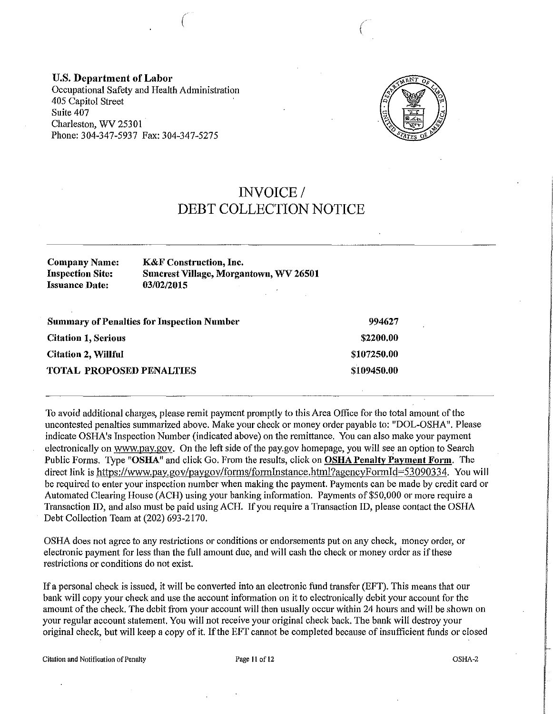**U.S. Department of Labor**  Occupational Safety and Health Administration 405 Capitol Street Suite 407 Charleston, WV 25301 Phone: 304-347-5937 Fax: 304-347-5275



 $\left($ 

## **INVOICE/ DEBT COLLECTION NOTICE**

#### **Company Name: Inspection Site: Issuance Date: K&F Construction, Inc. Snncrest Village, Morgantown, WV 26501 03/02/2015**

 $\left($ 

| <b>Summary of Penalties for Inspection Number</b> | 994627      |
|---------------------------------------------------|-------------|
| <b>Citation 1, Serious</b>                        | \$2200.00   |
| <b>Citation 2, Willful</b>                        | \$107250.00 |
| <b>TOTAL PROPOSED PENALTIES</b>                   | \$109450.00 |

To avoid additional charges, please remit payment promptly to this Area Office for the total amount of the uncontested penalties summarized above. Make your check or money order payable to: "DOL-OSHA". Please indicate OSHA's Inspection Number (indicated above) on the remittance. You can also make your payment electronically on www.pay.gov. On the left side of the pay.gov homepage, you will see an option to Search Public Forms. Type "OSHA" and click Go. From the results, click on **OSHA Penalty Payment Form.** The direct link is https://www.pay.gov/paygov/forms/formInstance.html?agencyFormId=53090334. You will be required to enter your inspection number when making the payment. Payments can be made by credit card or Automated Clearing House (ACH) using your banking information. Payments of \$50,000 or more require a Transaction ID, and also must be paid using ACH. If you require a Transaction ID, please contact the OSHA Debt Collection Team at (202) 693-2170.

OSHA does not agree to any restrictions or conditions or endorsements put on any check, money order, or electronic payment for less than the full amount due, and will cash the check or money order as if these restrictions or conditions do not exist.

If a personal check is issued, it will be converted into an electronic fund transfer (EFT). This means that our bank will copy your check and use the account information on it to electronically debit your account for the amount of the check. The debit from your account will then usually occur within 24 hours and will be shown on your regular account statement. You will not receive your original check back. The bank will destroy your original check, but will keep a copy of it. If the EFT cannot be completed because of insufficient funds or closed